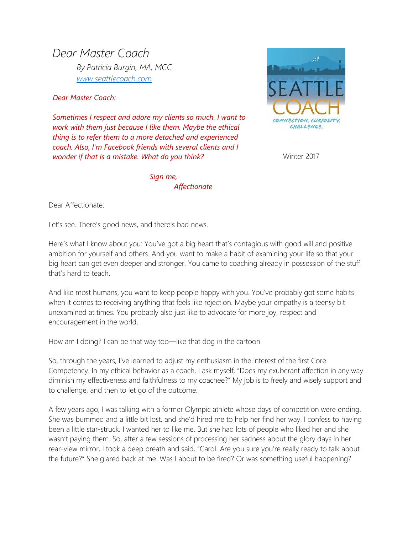*Dear Master Coach By Patricia Burgin, MA, MCC [www.seattlecoach.com](http://www.seattlecoach.com/)*

*Dear Master Coach:*

*Sometimes I respect and adore my clients so much. I want to work with them just because I like them. Maybe the ethical thing is to refer them to a more detached and experienced coach. Also, I'm Facebook friends with several clients and I wonder if that is a mistake. What do you think?*



Winter 2017

*Sign me, Affectionate* 

Dear Affectionate:

Let's see. There's good news, and there's bad news.

Here's what I know about you: You've got a big heart that's contagious with good will and positive ambition for yourself and others. And you want to make a habit of examining your life so that your big heart can get even deeper and stronger. You came to coaching already in possession of the stuff that's hard to teach.

And like most humans, you want to keep people happy with you. You've probably got some habits when it comes to receiving anything that feels like rejection. Maybe your empathy is a teensy bit unexamined at times. You probably also just like to advocate for more joy, respect and encouragement in the world.

How am I doing? I can be that way too—like that dog in the cartoon.

So, through the years, I've learned to adjust my enthusiasm in the interest of the first Core Competency. In my ethical behavior as a coach, I ask myself, "Does my exuberant affection in any way diminish my effectiveness and faithfulness to my coachee?" My job is to freely and wisely support and to challenge, and then to let go of the outcome.

A few years ago, I was talking with a former Olympic athlete whose days of competition were ending. She was bummed and a little bit lost, and she'd hired me to help her find her way. I confess to having been a little star-struck. I wanted her to like me. But she had lots of people who liked her and she wasn't paying them. So, after a few sessions of processing her sadness about the glory days in her rear-view mirror, I took a deep breath and said, "Carol. Are you sure you're really ready to talk about the future?" She glared back at me. Was I about to be fired? Or was something useful happening?